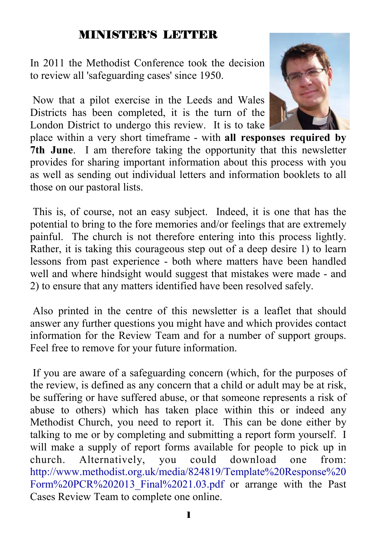# MINISTER'S LETTER

In 2011 the Methodist Conference took the decision to review all 'safeguarding cases' since 1950.

 Now that a pilot exercise in the Leeds and Wales Districts has been completed, it is the turn of the London District to undergo this review. It is to take



place within a very short timeframe - with **all responses required by 7th June**. I am therefore taking the opportunity that this newsletter provides for sharing important information about this process with you as well as sending out individual letters and information booklets to all those on our pastoral lists.

 This is, of course, not an easy subject. Indeed, it is one that has the potential to bring to the fore memories and/or feelings that are extremely painful. The church is not therefore entering into this process lightly. Rather, it is taking this courageous step out of a deep desire 1) to learn lessons from past experience - both where matters have been handled well and where hindsight would suggest that mistakes were made - and 2) to ensure that any matters identified have been resolved safely.

 Also printed in the centre of this newsletter is a leaflet that should answer any further questions you might have and which provides contact information for the Review Team and for a number of support groups. Feel free to remove for your future information.

 If you are aware of a safeguarding concern (which, for the purposes of the review, is defined as any concern that a child or adult may be at risk, be suffering or have suffered abuse, or that someone represents a risk of abuse to others) which has taken place within this or indeed any Methodist Church, you need to report it. This can be done either by talking to me or by completing and submitting a report form yourself. I will make a supply of report forms available for people to pick up in church. Alternatively, you could download one from: http://www.methodist.org.uk/media/824819/Template%20Response%20 Form%20PCR%202013 Final%2021.03.pdf or arrange with the Past Cases Review Team to complete one online.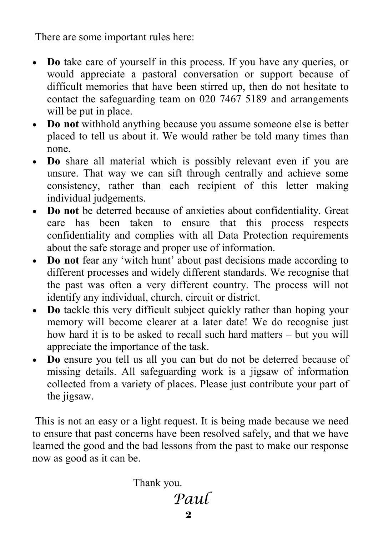There are some important rules here:

- **Do** take care of yourself in this process. If you have any queries, or would appreciate a pastoral conversation or support because of difficult memories that have been stirred up, then do not hesitate to contact the safeguarding team on 020 7467 5189 and arrangements will be put in place.
- **Do not** withhold anything because you assume someone else is better placed to tell us about it. We would rather be told many times than none.
- **Do** share all material which is possibly relevant even if you are unsure. That way we can sift through centrally and achieve some consistency, rather than each recipient of this letter making individual judgements.
- **Do not** be deterred because of anxieties about confidentiality. Great care has been taken to ensure that this process respects confidentiality and complies with all Data Protection requirements about the safe storage and proper use of information.
- **Do not** fear any 'witch hunt' about past decisions made according to different processes and widely different standards. We recognise that the past was often a very different country. The process will not identify any individual, church, circuit or district.
- **Do** tackle this very difficult subject quickly rather than hoping your memory will become clearer at a later date! We do recognise just how hard it is to be asked to recall such hard matters – but you will appreciate the importance of the task.
- **Do** ensure you tell us all you can but do not be deterred because of missing details. All safeguarding work is a jigsaw of information collected from a variety of places. Please just contribute your part of the jigsaw.

 This is not an easy or a light request. It is being made because we need to ensure that past concerns have been resolved safely, and that we have learned the good and the bad lessons from the past to make our response now as good as it can be.

Thank you.

*Paul*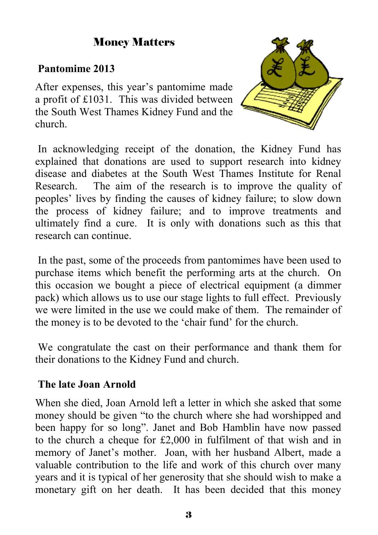# Money Matters

## **Pantomime 2013**

After expenses, this year's pantomime made a profit of £1031. This was divided between the South West Thames Kidney Fund and the church.



 In acknowledging receipt of the donation, the Kidney Fund has explained that donations are used to support research into kidney disease and diabetes at the South West Thames Institute for Renal Research. The aim of the research is to improve the quality of peoples' lives by finding the causes of kidney failure; to slow down the process of kidney failure; and to improve treatments and ultimately find a cure. It is only with donations such as this that research can continue.

 In the past, some of the proceeds from pantomimes have been used to purchase items which benefit the performing arts at the church. On this occasion we bought a piece of electrical equipment (a dimmer pack) which allows us to use our stage lights to full effect. Previously we were limited in the use we could make of them. The remainder of the money is to be devoted to the 'chair fund' for the church.

 We congratulate the cast on their performance and thank them for their donations to the Kidney Fund and church.

### **The late Joan Arnold**

When she died, Joan Arnold left a letter in which she asked that some money should be given "to the church where she had worshipped and been happy for so long". Janet and Bob Hamblin have now passed to the church a cheque for £2,000 in fulfilment of that wish and in memory of Janet's mother. Joan, with her husband Albert, made a valuable contribution to the life and work of this church over many years and it is typical of her generosity that she should wish to make a monetary gift on her death. It has been decided that this money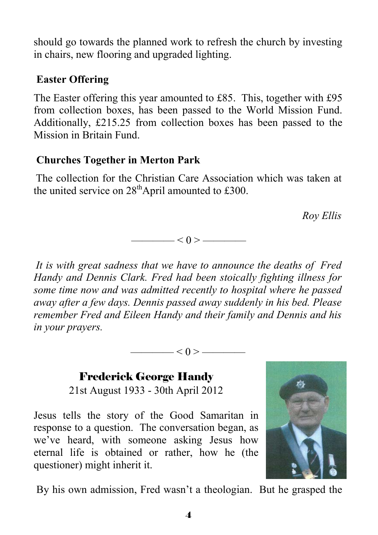should go towards the planned work to refresh the church by investing in chairs, new flooring and upgraded lighting.

# **Easter Offering**

The Easter offering this year amounted to £85. This, together with £95 from collection boxes, has been passed to the World Mission Fund. Additionally, £215.25 from collection boxes has been passed to the Mission in Britain Fund.

# **Churches Together in Merton Park**

The collection for the Christian Care Association which was taken at the united service on  $28<sup>th</sup>$ April amounted to £300.

*Roy Ellis* 

 $\leq 0$  >  $\qquad$ 

*It is with great sadness that we have to announce the deaths of Fred Handy and Dennis Clark. Fred had been stoically fighting illness for some time now and was admitted recently to hospital where he passed away after a few days. Dennis passed away suddenly in his bed. Please remember Fred and Eileen Handy and their family and Dennis and his in your prayers.* 

 $\leq 0$  >  $\leq$ 

Frederick George Handy 21st August 1933 - 30th April 2012

Jesus tells the story of the Good Samaritan in response to a question. The conversation began, as we've heard, with someone asking Jesus how eternal life is obtained or rather, how he (the questioner) might inherit it.



By his own admission, Fred wasn't a theologian. But he grasped the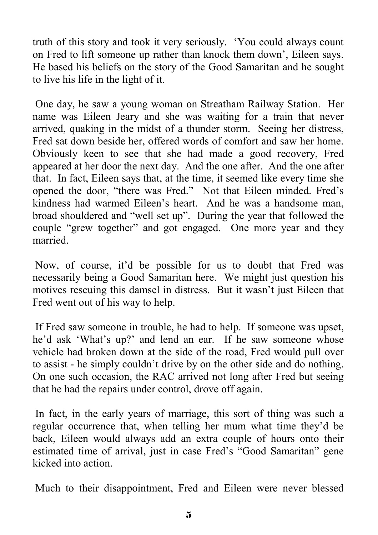truth of this story and took it very seriously. 'You could always count on Fred to lift someone up rather than knock them down', Eileen says. He based his beliefs on the story of the Good Samaritan and he sought to live his life in the light of it.

 One day, he saw a young woman on Streatham Railway Station. Her name was Eileen Jeary and she was waiting for a train that never arrived, quaking in the midst of a thunder storm. Seeing her distress, Fred sat down beside her, offered words of comfort and saw her home. Obviously keen to see that she had made a good recovery, Fred appeared at her door the next day. And the one after. And the one after that. In fact, Eileen says that, at the time, it seemed like every time she opened the door, "there was Fred." Not that Eileen minded. Fred's kindness had warmed Eileen's heart. And he was a handsome man, broad shouldered and "well set up". During the year that followed the couple "grew together" and got engaged. One more year and they married.

 Now, of course, it'd be possible for us to doubt that Fred was necessarily being a Good Samaritan here. We might just question his motives rescuing this damsel in distress. But it wasn't just Eileen that Fred went out of his way to help.

 If Fred saw someone in trouble, he had to help. If someone was upset, he'd ask 'What's up?' and lend an ear. If he saw someone whose vehicle had broken down at the side of the road, Fred would pull over to assist - he simply couldn't drive by on the other side and do nothing. On one such occasion, the RAC arrived not long after Fred but seeing that he had the repairs under control, drove off again.

 In fact, in the early years of marriage, this sort of thing was such a regular occurrence that, when telling her mum what time they'd be back, Eileen would always add an extra couple of hours onto their estimated time of arrival, just in case Fred's "Good Samaritan" gene kicked into action.

Much to their disappointment, Fred and Eileen were never blessed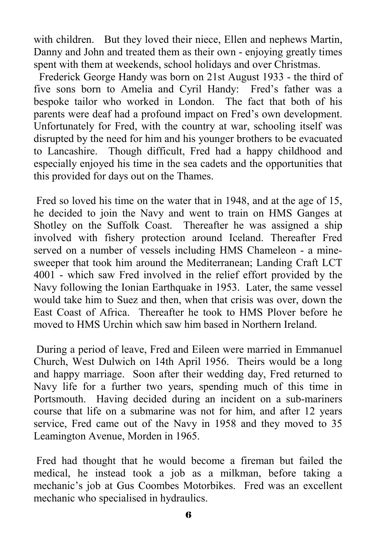with children. But they loved their niece, Ellen and nephews Martin, Danny and John and treated them as their own - enjoying greatly times spent with them at weekends, school holidays and over Christmas.

 Frederick George Handy was born on 21st August 1933 - the third of five sons born to Amelia and Cyril Handy: Fred's father was a bespoke tailor who worked in London. The fact that both of his parents were deaf had a profound impact on Fred's own development. Unfortunately for Fred, with the country at war, schooling itself was disrupted by the need for him and his younger brothers to be evacuated to Lancashire. Though difficult, Fred had a happy childhood and especially enjoyed his time in the sea cadets and the opportunities that this provided for days out on the Thames.

 Fred so loved his time on the water that in 1948, and at the age of 15, he decided to join the Navy and went to train on HMS Ganges at Shotley on the Suffolk Coast. Thereafter he was assigned a ship involved with fishery protection around Iceland. Thereafter Fred served on a number of vessels including HMS Chameleon - a minesweeper that took him around the Mediterranean; Landing Craft LCT 4001 - which saw Fred involved in the relief effort provided by the Navy following the Ionian Earthquake in 1953. Later, the same vessel would take him to Suez and then, when that crisis was over, down the East Coast of Africa. Thereafter he took to HMS Plover before he moved to HMS Urchin which saw him based in Northern Ireland.

 During a period of leave, Fred and Eileen were married in Emmanuel Church, West Dulwich on 14th April 1956. Theirs would be a long and happy marriage. Soon after their wedding day, Fred returned to Navy life for a further two years, spending much of this time in Portsmouth. Having decided during an incident on a sub-mariners course that life on a submarine was not for him, and after 12 years service, Fred came out of the Navy in 1958 and they moved to 35 Leamington Avenue, Morden in 1965.

 Fred had thought that he would become a fireman but failed the medical, he instead took a job as a milkman, before taking a mechanic's job at Gus Coombes Motorbikes. Fred was an excellent mechanic who specialised in hydraulics.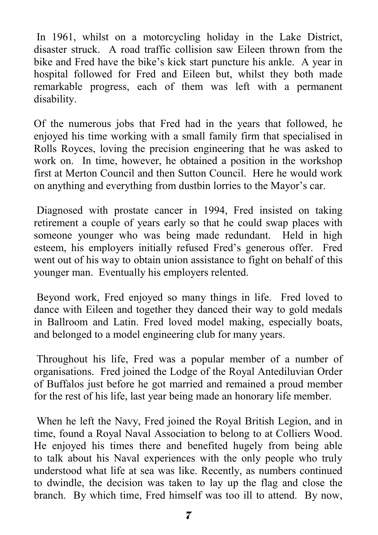In 1961, whilst on a motorcycling holiday in the Lake District, disaster struck. A road traffic collision saw Eileen thrown from the bike and Fred have the bike's kick start puncture his ankle. A year in hospital followed for Fred and Eileen but, whilst they both made remarkable progress, each of them was left with a permanent disability.

Of the numerous jobs that Fred had in the years that followed, he enjoyed his time working with a small family firm that specialised in Rolls Royces, loving the precision engineering that he was asked to work on. In time, however, he obtained a position in the workshop first at Merton Council and then Sutton Council. Here he would work on anything and everything from dustbin lorries to the Mayor's car.

 Diagnosed with prostate cancer in 1994, Fred insisted on taking retirement a couple of years early so that he could swap places with someone younger who was being made redundant. Held in high esteem, his employers initially refused Fred's generous offer. Fred went out of his way to obtain union assistance to fight on behalf of this younger man. Eventually his employers relented.

 Beyond work, Fred enjoyed so many things in life. Fred loved to dance with Eileen and together they danced their way to gold medals in Ballroom and Latin. Fred loved model making, especially boats, and belonged to a model engineering club for many years.

 Throughout his life, Fred was a popular member of a number of organisations. Fred joined the Lodge of the Royal Antediluvian Order of Buffalos just before he got married and remained a proud member for the rest of his life, last year being made an honorary life member.

 When he left the Navy, Fred joined the Royal British Legion, and in time, found a Royal Naval Association to belong to at Colliers Wood. He enjoyed his times there and benefited hugely from being able to talk about his Naval experiences with the only people who truly understood what life at sea was like. Recently, as numbers continued to dwindle, the decision was taken to lay up the flag and close the branch. By which time, Fred himself was too ill to attend. By now,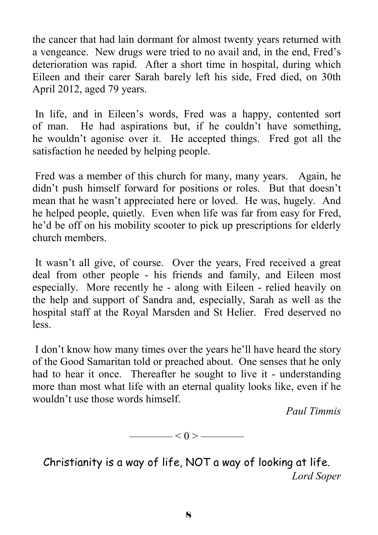the cancer that had lain dormant for almost twenty years returned with a vengeance. New drugs were tried to no avail and, in the end, Fred's deterioration was rapid. After a short time in hospital, during which Eileen and their carer Sarah barely left his side, Fred died, on 30th April 2012, aged 79 years.

 In life, and in Eileen's words, Fred was a happy, contented sort of man. He had aspirations but, if he couldn't have something, he wouldn't agonise over it. He accepted things. Fred got all the satisfaction he needed by helping people.

 Fred was a member of this church for many, many years. Again, he didn't push himself forward for positions or roles. But that doesn't mean that he wasn't appreciated here or loved. He was, hugely. And he helped people, quietly. Even when life was far from easy for Fred, he'd be off on his mobility scooter to pick up prescriptions for elderly church members.

 It wasn't all give, of course. Over the years, Fred received a great deal from other people - his friends and family, and Eileen most especially. More recently he - along with Eileen - relied heavily on the help and support of Sandra and, especially, Sarah as well as the hospital staff at the Royal Marsden and St Helier. Fred deserved no less.

 I don't know how many times over the years he'll have heard the story of the Good Samaritan told or preached about. One senses that he only had to hear it once. Thereafter he sought to live it - understanding more than most what life with an eternal quality looks like, even if he wouldn't use those words himself.

*Paul Timmis* 

$$
\overbrace{\hspace{1.5cm}}<0>\overbrace{\hspace{1.5cm}}
$$

Christianity is a way of life, NOT a way of looking at life. *Lord Soper*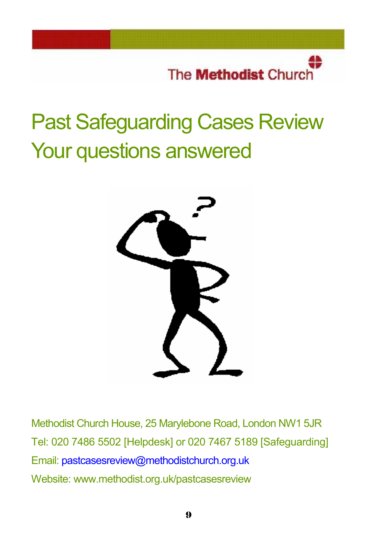The **Methodist** Church

# Past Safeguarding Cases Review Your questions answered



Methodist Church House, 25 Marylebone Road, London NW1 5JR Tel: 020 7486 5502 [Helpdesk] or 020 7467 5189 [Safeguarding] Email: pastcasesreview@methodistchurch.org.uk Website: www.methodist.org.uk/pastcasesreview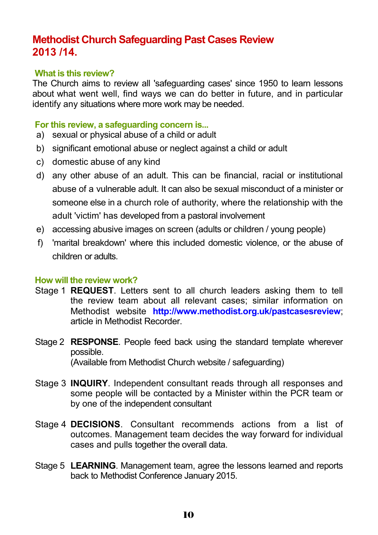# **Methodist Church Safeguarding Past Cases Review 2013 /14.**

#### **What is this review?**

The Church aims to review all 'safeguarding cases' since 1950 to learn lessons about what went well, find ways we can do better in future, and in particular identify any situations where more work may be needed.

#### **For this review, a safeguarding concern is...**

- a) sexual or physical abuse of a child or adult
- b) significant emotional abuse or neglect against a child or adult
- c) domestic abuse of any kind
- d) any other abuse of an adult. This can be financial, racial or institutional abuse of a vulnerable adult. It can also be sexual misconduct of a minister or someone else in a church role of authority, where the relationship with the adult 'victim' has developed from a pastoral involvement
- e) accessing abusive images on screen (adults or children / young people)
- f) 'marital breakdown' where this included domestic violence, or the abuse of children or adults.

#### **How will the review work?**

- Stage 1 **REQUEST**. Letters sent to all church leaders asking them to tell the review team about all relevant cases; similar information on Methodist website **http://www.methodist.org.uk/pastcasesreview**; article in Methodist Recorder.
- Stage 2 **RESPONSE**. People feed back using the standard template wherever possible. (Available from Methodist Church website / safeguarding)
- Stage 3 **INQUIRY**. Independent consultant reads through all responses and some people will be contacted by a Minister within the PCR team or by one of the independent consultant
- Stage 4 **DECISIONS**. Consultant recommends actions from a list of outcomes. Management team decides the way forward for individual cases and pulls together the overall data.
- Stage 5 **LEARNING**. Management team, agree the lessons learned and reports back to Methodist Conference January 2015.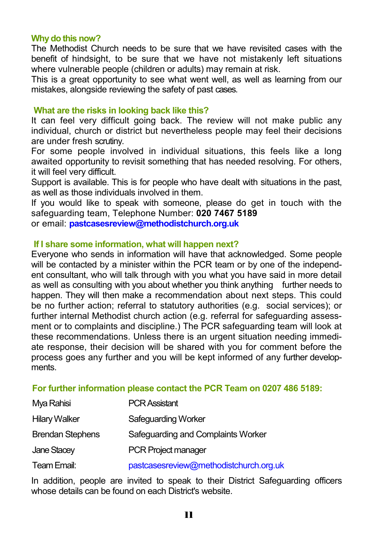#### **Why do this now?**

The Methodist Church needs to be sure that we have revisited cases with the benefit of hindsight, to be sure that we have not mistakenly left situations where vulnerable people (children or adults) may remain at risk.

This is a great opportunity to see what went well, as well as learning from our mistakes, alongside reviewing the safety of past cases.

#### **What are the risks in looking back like this?**

It can feel very difficult going back. The review will not make public any individual, church or district but nevertheless people may feel their decisions are under fresh scrutiny.

For some people involved in individual situations, this feels like a long awaited opportunity to revisit something that has needed resolving. For others, it will feel very difficult.

Support is available. This is for people who have dealt with situations in the past, as well as those individuals involved in them.

If you would like to speak with someone, please do get in touch with the safeguarding team, Telephone Number: **020 7467 5189**  or email: **pastcasesreview@methodistchurch.org.uk**

#### **If I share some information, what will happen next?**

Everyone who sends in information will have that acknowledged. Some people will be contacted by a minister within the PCR team or by one of the independent consultant, who will talk through with you what you have said in more detail as well as consulting with you about whether you think anything further needs to happen. They will then make a recommendation about next steps. This could be no further action; referral to statutory authorities (e.g. social services); or further internal Methodist church action (e.g. referral for safeguarding assessment or to complaints and discipline.) The PCR safeguarding team will look at these recommendations. Unless there is an urgent situation needing immediate response, their decision will be shared with you for comment before the process goes any further and you will be kept informed of any further developments.

#### **For further information please contact the PCR Team on 0207 486 5189:**

| Mya Rahisi              | <b>PCR Assistant</b>                   |
|-------------------------|----------------------------------------|
| <b>Hilary Walker</b>    | Safeguarding Worker                    |
| <b>Brendan Stephens</b> | Safeguarding and Complaints Worker     |
| Jane Stacey             | <b>PCR Project manager</b>             |
| Team Email:             | pastcasesreview@methodistchurch.org.uk |

In addition, people are invited to speak to their District Safeguarding officers whose details can be found on each District's website.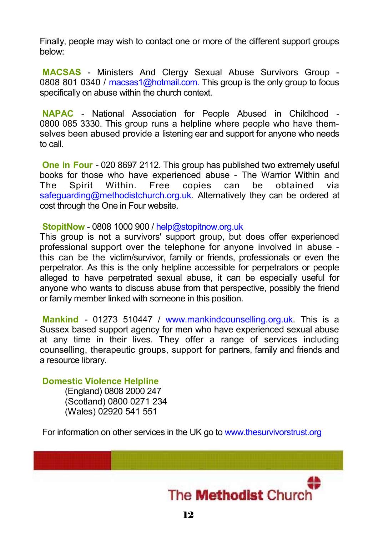Finally, people may wish to contact one or more of the different support groups below:

**MACSAS** - Ministers And Clergy Sexual Abuse Survivors Group - 0808 801 0340 / macsas1@hotmail.com. This group is the only group to focus specifically on abuse within the church context.

**NAPAC** - National Association for People Abused in Childhood - 0800 085 3330. This group runs a helpline where people who have themselves been abused provide a listening ear and support for anyone who needs to call.

**One in Four** - 020 8697 2112. This group has published two extremely useful books for those who have experienced abuse - The Warrior Within and The Spirit Within. Free copies can be obtained via safeguarding@methodistchurch.org.uk. Alternatively they can be ordered at cost through the One in Four website.

**StopitNow** - 0808 1000 900 / help@stopitnow.org.uk

This group is not a survivors' support group, but does offer experienced professional support over the telephone for anyone involved in abuse this can be the victim/survivor, family or friends, professionals or even the perpetrator. As this is the only helpline accessible for perpetrators or people alleged to have perpetrated sexual abuse, it can be especially useful for anyone who wants to discuss abuse from that perspective, possibly the friend or family member linked with someone in this position.

 **Mankind** - 01273 510447 / www.mankindcounselling.org.uk. This is a Sussex based support agency for men who have experienced sexual abuse at any time in their lives. They offer a range of services including counselling, therapeutic groups, support for partners, family and friends and a resource library.

**Domestic Violence Helpline** 

(England) 0808 2000 247 (Scotland) 0800 0271 234 (Wales) 02920 541 551

For information on other services in the UK go to www.thesurvivorstrust.org

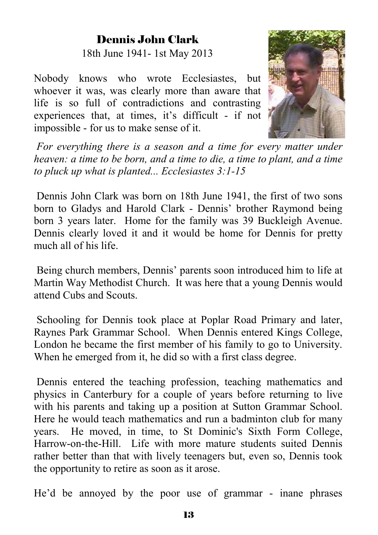# Dennis John Clark

18th June 1941- 1st May 2013

Nobody knows who wrote Ecclesiastes, but whoever it was, was clearly more than aware that life is so full of contradictions and contrasting experiences that, at times, it's difficult - if not impossible - for us to make sense of it.



*For everything there is a season and a time for every matter under heaven: a time to be born, and a time to die, a time to plant, and a time to pluck up what is planted... Ecclesiastes 3:1-15* 

 Dennis John Clark was born on 18th June 1941, the first of two sons born to Gladys and Harold Clark - Dennis' brother Raymond being born 3 years later. Home for the family was 39 Buckleigh Avenue. Dennis clearly loved it and it would be home for Dennis for pretty much all of his life.

 Being church members, Dennis' parents soon introduced him to life at Martin Way Methodist Church. It was here that a young Dennis would attend Cubs and Scouts.

 Schooling for Dennis took place at Poplar Road Primary and later, Raynes Park Grammar School. When Dennis entered Kings College, London he became the first member of his family to go to University. When he emerged from it, he did so with a first class degree.

 Dennis entered the teaching profession, teaching mathematics and physics in Canterbury for a couple of years before returning to live with his parents and taking up a position at Sutton Grammar School. Here he would teach mathematics and run a badminton club for many years. He moved, in time, to St Dominic's Sixth Form College, Harrow-on-the-Hill. Life with more mature students suited Dennis rather better than that with lively teenagers but, even so, Dennis took the opportunity to retire as soon as it arose.

He'd be annoyed by the poor use of grammar - inane phrases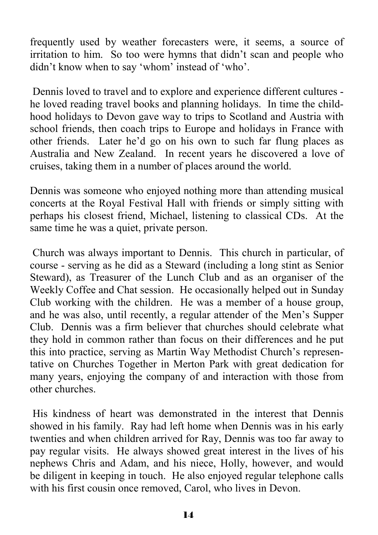frequently used by weather forecasters were, it seems, a source of irritation to him. So too were hymns that didn't scan and people who didn't know when to say 'whom' instead of 'who'.

 Dennis loved to travel and to explore and experience different cultures he loved reading travel books and planning holidays. In time the childhood holidays to Devon gave way to trips to Scotland and Austria with school friends, then coach trips to Europe and holidays in France with other friends. Later he'd go on his own to such far flung places as Australia and New Zealand. In recent years he discovered a love of cruises, taking them in a number of places around the world.

Dennis was someone who enjoyed nothing more than attending musical concerts at the Royal Festival Hall with friends or simply sitting with perhaps his closest friend, Michael, listening to classical CDs. At the same time he was a quiet, private person.

 Church was always important to Dennis. This church in particular, of course - serving as he did as a Steward (including a long stint as Senior Steward), as Treasurer of the Lunch Club and as an organiser of the Weekly Coffee and Chat session. He occasionally helped out in Sunday Club working with the children. He was a member of a house group, and he was also, until recently, a regular attender of the Men's Supper Club. Dennis was a firm believer that churches should celebrate what they hold in common rather than focus on their differences and he put this into practice, serving as Martin Way Methodist Church's representative on Churches Together in Merton Park with great dedication for many years, enjoying the company of and interaction with those from other churches.

 His kindness of heart was demonstrated in the interest that Dennis showed in his family. Ray had left home when Dennis was in his early twenties and when children arrived for Ray, Dennis was too far away to pay regular visits. He always showed great interest in the lives of his nephews Chris and Adam, and his niece, Holly, however, and would be diligent in keeping in touch. He also enjoyed regular telephone calls with his first cousin once removed, Carol, who lives in Devon.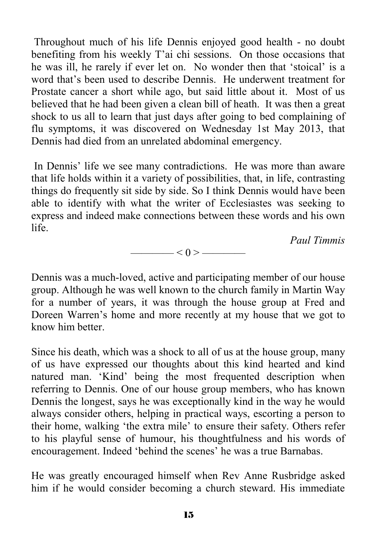Throughout much of his life Dennis enjoyed good health - no doubt benefiting from his weekly T'ai chi sessions. On those occasions that he was ill, he rarely if ever let on. No wonder then that 'stoical' is a word that's been used to describe Dennis. He underwent treatment for Prostate cancer a short while ago, but said little about it. Most of us believed that he had been given a clean bill of heath. It was then a great shock to us all to learn that just days after going to bed complaining of flu symptoms, it was discovered on Wednesday 1st May 2013, that Dennis had died from an unrelated abdominal emergency.

 In Dennis' life we see many contradictions. He was more than aware that life holds within it a variety of possibilities, that, in life, contrasting things do frequently sit side by side. So I think Dennis would have been able to identify with what the writer of Ecclesiastes was seeking to express and indeed make connections between these words and his own life.

*Paul Timmis* 

Dennis was a much-loved, active and participating member of our house group. Although he was well known to the church family in Martin Way for a number of years, it was through the house group at Fred and Doreen Warren's home and more recently at my house that we got to know him better.

 $\longrightarrow$   $<$  0 >  $\longrightarrow$ 

Since his death, which was a shock to all of us at the house group, many of us have expressed our thoughts about this kind hearted and kind natured man. 'Kind' being the most frequented description when referring to Dennis. One of our house group members, who has known Dennis the longest, says he was exceptionally kind in the way he would always consider others, helping in practical ways, escorting a person to their home, walking 'the extra mile' to ensure their safety. Others refer to his playful sense of humour, his thoughtfulness and his words of encouragement. Indeed 'behind the scenes' he was a true Barnabas.

He was greatly encouraged himself when Rev Anne Rusbridge asked him if he would consider becoming a church steward. His immediate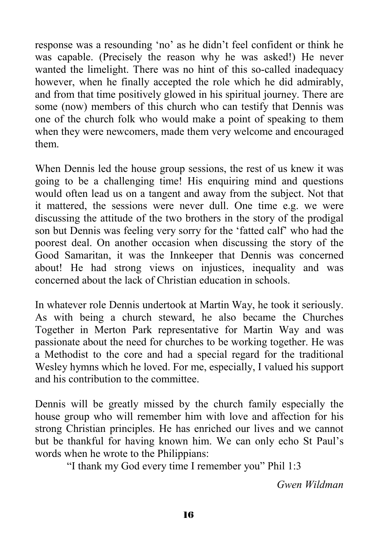response was a resounding 'no' as he didn't feel confident or think he was capable. (Precisely the reason why he was asked!) He never wanted the limelight. There was no hint of this so-called inadequacy however, when he finally accepted the role which he did admirably, and from that time positively glowed in his spiritual journey. There are some (now) members of this church who can testify that Dennis was one of the church folk who would make a point of speaking to them when they were newcomers, made them very welcome and encouraged them.

When Dennis led the house group sessions, the rest of us knew it was going to be a challenging time! His enquiring mind and questions would often lead us on a tangent and away from the subject. Not that it mattered, the sessions were never dull. One time e.g. we were discussing the attitude of the two brothers in the story of the prodigal son but Dennis was feeling very sorry for the 'fatted calf' who had the poorest deal. On another occasion when discussing the story of the Good Samaritan, it was the Innkeeper that Dennis was concerned about! He had strong views on injustices, inequality and was concerned about the lack of Christian education in schools.

In whatever role Dennis undertook at Martin Way, he took it seriously. As with being a church steward, he also became the Churches Together in Merton Park representative for Martin Way and was passionate about the need for churches to be working together. He was a Methodist to the core and had a special regard for the traditional Wesley hymns which he loved. For me, especially, I valued his support and his contribution to the committee.

Dennis will be greatly missed by the church family especially the house group who will remember him with love and affection for his strong Christian principles. He has enriched our lives and we cannot but be thankful for having known him. We can only echo St Paul's words when he wrote to the Philippians:

"I thank my God every time I remember you" Phil 1:3

*Gwen Wildman*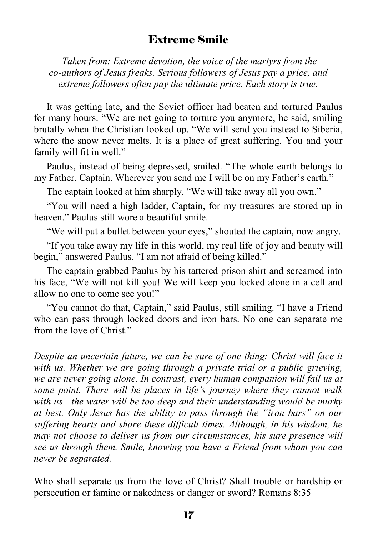## Extreme Smile

 *Taken from: Extreme devotion, the voice of the martyrs from the co-authors of Jesus freaks. Serious followers of Jesus pay a price, and extreme followers often pay the ultimate price. Each story is true.* 

It was getting late, and the Soviet officer had beaten and tortured Paulus for many hours. "We are not going to torture you anymore, he said, smiling brutally when the Christian looked up. "We will send you instead to Siberia, where the snow never melts. It is a place of great suffering. You and your family will fit in well."

Paulus, instead of being depressed, smiled. "The whole earth belongs to my Father, Captain. Wherever you send me I will be on my Father's earth."

The captain looked at him sharply. "We will take away all you own."

"You will need a high ladder, Captain, for my treasures are stored up in heaven." Paulus still wore a beautiful smile.

"We will put a bullet between your eyes," shouted the captain, now angry.

"If you take away my life in this world, my real life of joy and beauty will begin," answered Paulus. "I am not afraid of being killed."

The captain grabbed Paulus by his tattered prison shirt and screamed into his face, "We will not kill you! We will keep you locked alone in a cell and allow no one to come see you!"

"You cannot do that, Captain," said Paulus, still smiling. "I have a Friend who can pass through locked doors and iron bars. No one can separate me from the love of Christ."

*Despite an uncertain future, we can be sure of one thing: Christ will face it* with us. Whether we are going through a private trial or a public grieving, we are never going alone. In contrast, every human companion will fail us at *some point. There will be places in life's journey where they cannot walk with us—the water will be too deep and their understanding would be murky at best. Only Jesus has the ability to pass through the "iron bars" on our suffering hearts and share these difficult times. Although, in his wisdom, he may not choose to deliver us from our circumstances, his sure presence will see us through them. Smile, knowing you have a Friend from whom you can never be separated.* 

Who shall separate us from the love of Christ? Shall trouble or hardship or persecution or famine or nakedness or danger or sword? Romans 8:35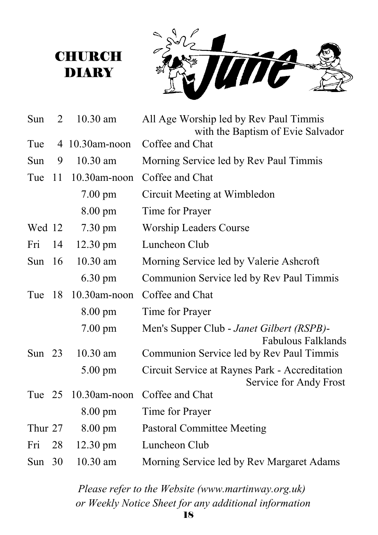# **CHURCH DIARY**



| Sun      | 2   | $10.30$ am         | All Age Worship led by Rev Paul Timmis                                   |
|----------|-----|--------------------|--------------------------------------------------------------------------|
| Tue      |     | 4 10.30am-noon     | with the Baptism of Evie Salvador<br>Coffee and Chat                     |
| Sun      | 9   | $10.30$ am         | Morning Service led by Rev Paul Timmis                                   |
| Tue      | -11 | $10.30$ am-noon    | Coffee and Chat                                                          |
|          |     | $7.00 \text{ pm}$  | Circuit Meeting at Wimbledon                                             |
|          |     | 8.00 pm            | Time for Prayer                                                          |
| Wed 12   |     | $7.30 \text{ pm}$  | <b>Worship Leaders Course</b>                                            |
| Fri      | 14  | 12.30 pm           | Luncheon Club                                                            |
| Sun      | -16 | 10.30 am           | Morning Service led by Valerie Ashcroft                                  |
|          |     | $6.30 \text{ pm}$  | Communion Service led by Rev Paul Timmis                                 |
| Tue      | -18 | 10.30am-noon       | Coffee and Chat                                                          |
|          |     | $8.00 \text{ pm}$  | Time for Prayer                                                          |
|          |     | $7.00$ pm          | Men's Supper Club - Janet Gilbert (RSPB)-<br><b>Fabulous Falklands</b>   |
| Sun $23$ |     | $10.30$ am         | Communion Service led by Rev Paul Timmis                                 |
|          |     | 5.00 pm            | Circuit Service at Raynes Park - Accreditation<br>Service for Andy Frost |
| Tue 25   |     | $10.30$ am-noon    | Coffee and Chat                                                          |
|          |     | $8.00 \text{ pm}$  | Time for Prayer                                                          |
| Thur 27  |     | $8.00 \text{ pm}$  | <b>Pastoral Committee Meeting</b>                                        |
| Fri      | 28  | $12.30 \text{ pm}$ | Luncheon Club                                                            |
| Sun $30$ |     | 10.30 am           | Morning Service led by Rev Margaret Adams                                |

*Please refer to the Website (www.martinway.org.uk) or Weekly Notice Sheet for any additional information*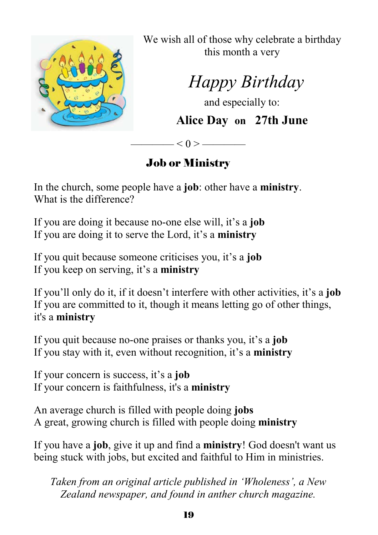

We wish all of those why celebrate a birthday this month a very

 *Happy Birthday* 

and especially to:

**Alice Day on 27th June** 

# Job or Ministry

 $-$  < 0 >  $-$ 

In the church, some people have a **job**: other have a **ministry**. What is the difference?

If you are doing it because no-one else will, it's a **job** If you are doing it to serve the Lord, it's a **ministry**

If you quit because someone criticises you, it's a **job** If you keep on serving, it's a **ministry**

If you'll only do it, if it doesn't interfere with other activities, it's a **job** If you are committed to it, though it means letting go of other things, it's a **ministry**

If you quit because no-one praises or thanks you, it's a **job** If you stay with it, even without recognition, it's a **ministry**

If your concern is success, it's a **job** If your concern is faithfulness, it's a **ministry**

An average church is filled with people doing **jobs** A great, growing church is filled with people doing **ministry**

If you have a **job**, give it up and find a **ministry**! God doesn't want us being stuck with jobs, but excited and faithful to Him in ministries.

*Taken from an original article published in 'Wholeness', a New Zealand newspaper, and found in anther church magazine.*